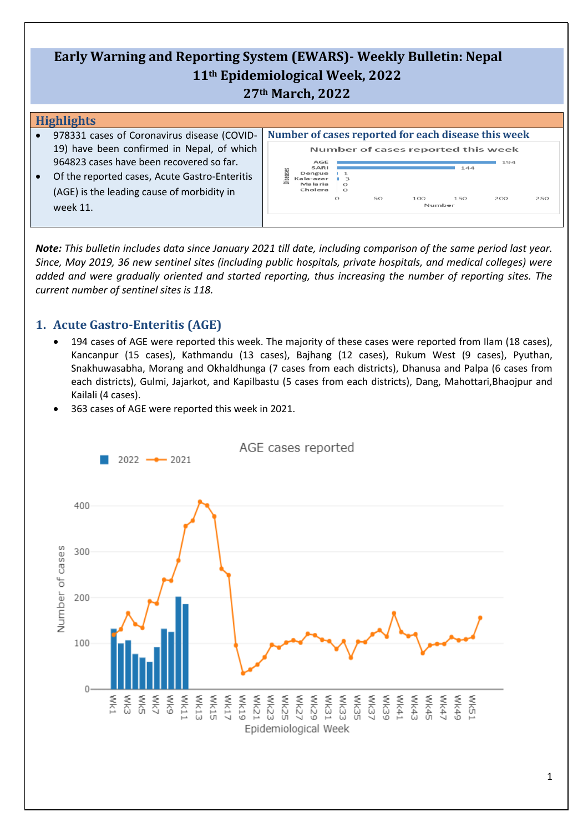# **Early Warning and Reporting System (EWARS)- Weekly Bulletin: Nepal 11th Epidemiological Week, 2022 27th March, 2022**

#### **Highlights Number of cases reported for each disease this week** 978331 cases of Coronavirus disease (COVID-19) have been confirmed in Nepal, of which Number of cases reported this week 964823 cases have been recovered so far. AGE<br>SARI  $144$ Dengue<br>Kala-azar<br>Malaria<br>Cholera Of the reported cases, Acute Gastro-Enteritis  $\begin{array}{c} 0 \\ 0 \end{array}$ (AGE) is the leading cause of morbidity in  $\circ$ 50 100 150 200 250 Number week 11.

*Note: This bulletin includes data since January 2021 till date, including comparison of the same period last year. Since, May 2019, 36 new sentinel sites (including public hospitals, private hospitals, and medical colleges) were added and were gradually oriented and started reporting, thus increasing the number of reporting sites. The current number of sentinel sites is 118.*

# **1. Acute Gastro-Enteritis (AGE)**

- 194 cases of AGE were reported this week. The majority of these cases were reported from Ilam (18 cases), Kancanpur (15 cases), Kathmandu (13 cases), Bajhang (12 cases), Rukum West (9 cases), Pyuthan, Snakhuwasabha, Morang and Okhaldhunga (7 cases from each districts), Dhanusa and Palpa (6 cases from each districts), Gulmi, Jajarkot, and Kapilbastu (5 cases from each districts), Dang, Mahottari,Bhaojpur and Kailali (4 cases).
- 363 cases of AGE were reported this week in 2021.

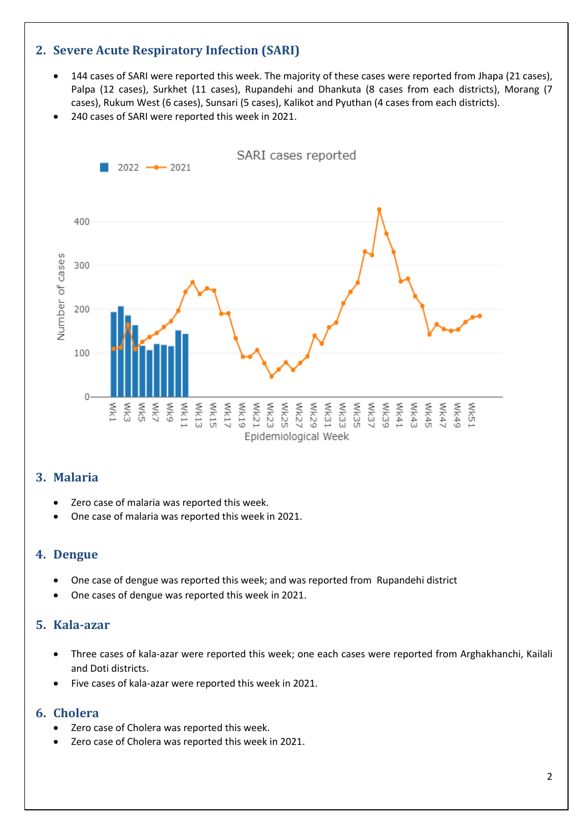## **2. Severe Acute Respiratory Infection (SARI)**

- 144 cases of SARI were reported this week. The majority of these cases were reported from Jhapa (21 cases), Palpa (12 cases), Surkhet (11 cases), Rupandehi and Dhankuta (8 cases from each districts), Morang (7 cases), Rukum West (6 cases), Sunsari (5 cases), Kalikot and Pyuthan (4 cases from each districts).
- 240 cases of SARI were reported this week in 2021.



## **3. Malaria**

- Zero case of malaria was reported this week.
- One case of malaria was reported this week in 2021.

## **4. Dengue**

- One case of dengue was reported this week; and was reported from Rupandehi district
- One cases of dengue was reported this week in 2021.

## **5. Kala-azar**

- Three cases of kala-azar were reported this week; one each cases were reported from Arghakhanchi, Kailali and Doti districts.
- Five cases of kala-azar were reported this week in 2021.

#### **6. Cholera**

- Zero case of Cholera was reported this week.
- Zero case of Cholera was reported this week in 2021.